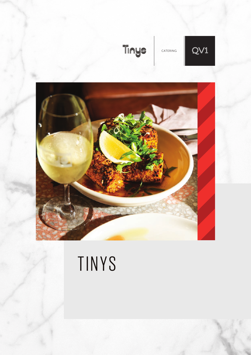

CATERING





# TINYS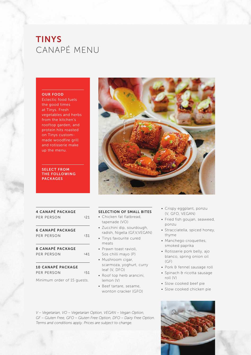# **TINYS** CANAPÉ MENU

#### OUR FOOD

Eclectic food fuels the good times at Tinys. Fresh vegetables and herbs from the kitchen's rooftop garden, and protein hits roasted on Tinys custommade woodfire grill and rotisserie make up the menu.

### SELECT FROM THE FOLLOWING PACKAGES



# 4 CANAPÉ PACKAGE PER PERSON \$21

6 CANAPÉ PACKAGE PER PERSON \$31

### 8 CANAPÉ PACKAGE PER PERSON \$41

10 CANAPÉ PACKAGE PER PERSON \$51

Minimum order of 15 guests.

### SELECTION OF SMALL BITES

- Chicken fat flatbread, tapenade (VO)
- Zucchini dip, sourdough, radish, Nigella (GF,V,VEGAN)
- Tinys favourite cured meats
- Prawn toast ravioli, Sos chilli mayo (P)
- Mushroom cigar, scarmoza, yoghurt, curry leaf (V, DFO)
- Roof top herb arancini, lemon (V)
- Beef tartare, sesame, wonton cracker (GFO)
- Crispy eggplant, ponzu (V, GFO, VEGAN)
- Fried fish goujan, seaweed, ponzu
- Stracciatella, spiced honey, thyme
- Manchego croquettes, smoked paprika
- Rotisserie pork belly, ajo blanco, spring onion oil (GF)
- Pork & fennel sausage roll
- Spinach & ricotta sausage roll (V)
- Slow cooked beef pie
- Slow cooked chicken pie

*V – Vegetarian, VO – Vegetarian Option, VEGAN – Vegan Option, GF – Gluten Free, GFO – Gluten Free Option, DFO – Dairy Free Option. Terms and conditions apply. Prices are subject to change.*

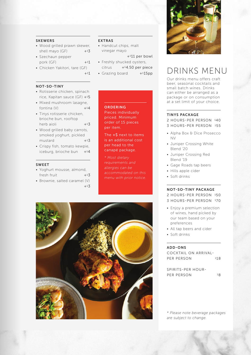### SKEWERS

- Wood grilled prawn skewer, shell mayo  $(GF)$  +\$3
- Szechaun pepper pork  $(GF)$  +  $*1$
- Chicken Yakitori, tare (GF)

#### NOT-SO-TINY

- Rotisserie chicken, spinach rice, Kapitan sauce (GF) +\$5
- Mixed mushroom lasagne, fontina  $(V)$   $+54$
- Tinys rotisserie chicken, brioche bun, rooftop herb aioli  $+$ \$3
- Wood grilled baby carrots, smoked yoghurt, pickled  $mustard$   $+$   $53$
- Crispy fish, tomato kewpie, iceburg, brioche bun +\$4

### SWEET

- Yoghurt mousse, almond, fresh fruit  $+<sup>s</sup>3$
- Brownie, salted caramel (V)  $+$ \$3

### EXTRAS

 $+51$ 

• Handcut chips, malt vinegar mayo

+\$11 per bowl • Freshly shucked oysters,

- $citrus + $4.50$  per piece
- $\cdot$  Grazing board  $+515$ pp

### **ORDERING**

Pieces individually priced. Minimum order of 15 pieces per item.

The +\$ next to items is an additional cost per head to the canapé package.

*allergies can be* 





# DRINKS MENU

Our drinks menu offers craft beer, seasonal cocktails and small batch wines. Drinks can either be arranged as a package or on consumption at a set limit of your choice.

#### TINYS PACKAGE

- 2 HOURS-PER PERSON \$40
- 3 HOURS-PER PERSON \$55
- Alpha Box & Dice Prosecco NV
- Juniper Crossing White Blend '20
- Juniper Crossing Red Blend '19
- Gage Roads tap beers
- Hills apple cider
- Soft drinks

### NOT-SO-TINY PACKAGE

2 HOURS-PER PERSON \$50

- 3 HOURS-PER PERSON \$70
- Enjoy a premium selection of wines, hand picked by our team based on your preferences
- All tap beers and cider
- Soft drinks

### ADD-ONS

COCKTAIL ON ARRIVAL-PER PERSON \$18

SPIRITS-PER HOUR-PER PERSON \$8

*\* Please note beverage packages are subject to change.*